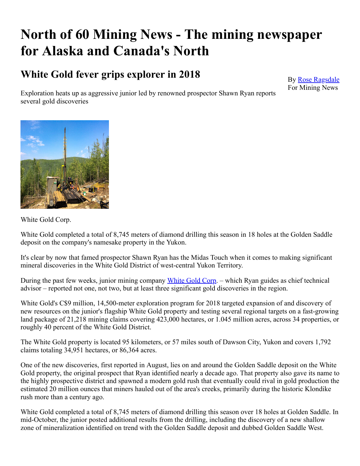# **North of 60 Mining News - The mining newspaper for Alaska and Canada's North**

## **White Gold fever grips explorer in 2018**

By [Rose Ragsdale](https://www.miningnewsnorth.com/author/rose_ragsdale) For Mining News

Exploration heats up as aggressive junior led by renowned prospector Shawn Ryan reports several gold discoveries



White Gold Corp.

White Gold completed a total of 8,745 meters of diamond drilling this season in 18 holes at the Golden Saddle deposit on the company's namesake property in the Yukon.

It's clear by now that famed prospector Shawn Ryan has the Midas Touch when it comes to making significant mineral discoveries in the White Gold District of west-central Yukon Territory.

During the past few weeks, junior mining company [White Gold Corp.](https://www.miningnewsnorth.com/search/White_Gold_Corp) – which Ryan guides as chief technical advisor – reported not one, not two, but at least three significant gold discoveries in the region.

White Gold's C\$9 million, 14,500-meter exploration program for 2018 targeted expansion of and discovery of new resources on the junior's flagship White Gold property and testing several regional targets on a fast-growing land package of 21,218 mining claims covering 423,000 hectares, or 1.045 million acres, across 34 properties, or roughly 40 percent of the White Gold District.

The White Gold property is located 95 kilometers, or 57 miles south of Dawson City, Yukon and covers 1,792 claims totaling 34,951 hectares, or 86,364 acres.

One of the new discoveries, first reported in August, lies on and around the Golden Saddle deposit on the White Gold property, the original prospect that Ryan identified nearly a decade ago. That property also gave its name to the highly prospective district and spawned a modern gold rush that eventually could rival in gold production the estimated 20 million ounces that miners hauled out of the area's creeks, primarily during the historic Klondike rush more than a century ago.

White Gold completed a total of 8,745 meters of diamond drilling this season over 18 holes at Golden Saddle. In mid-October, the junior posted additional results from the drilling, including the discovery of a new shallow zone of mineralization identified on trend with the Golden Saddle deposit and dubbed Golden Saddle West.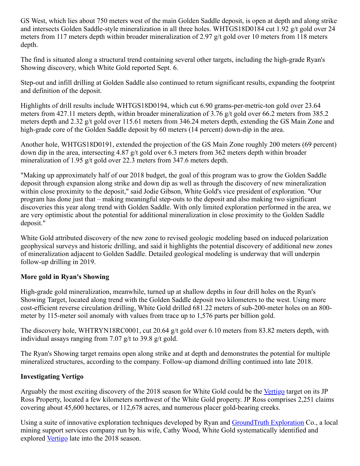GS West, which lies about 750 meters west of the main Golden Saddle deposit, is open at depth and along strike and intersects Golden Saddle-style mineralization in all three holes. WHTGS18D0184 cut 1.92 g/t gold over 24 meters from 117 meters depth within broader mineralization of 2.97 g/t gold over 10 meters from 118 meters depth.

The find is situated along a structural trend containing several other targets, including the high-grade Ryan's Showing discovery, which White Gold reported Sept. 6.

Step-out and infill drilling at Golden Saddle also continued to return significant results, expanding the footprint and definition of the deposit.

Highlights of drill results include WHTGS18D0194, which cut 6.90 grams-per-metric-ton gold over 23.64 meters from 427.11 meters depth, within broader mineralization of 3.76 g/t gold over 66.2 meters from 385.2 meters depth and 2.32 g/t gold over 115.61 meters from 346.24 meters depth, extending the GS Main Zone and high-grade core of the Golden Saddle deposit by 60 meters (14 percent) down-dip in the area.

Another hole, WHTGS18D0191, extended the projection of the GS Main Zone roughly 200 meters (69 percent) down dip in the area, intersecting 4.87 g/t gold over 6.3 meters from 362 meters depth within broader mineralization of 1.95 g/t gold over 22.3 meters from 347.6 meters depth.

"Making up approximately half of our 2018 budget, the goal of this program was to grow the Golden Saddle deposit through expansion along strike and down dip as well as through the discovery of new mineralization within close proximity to the deposit," said Jodie Gibson, White Gold's vice president of exploration. "Our program has done just that – making meaningful step-outs to the deposit and also making two significant discoveries this year along trend with Golden Saddle. With only limited exploration performed in the area, we are very optimistic about the potential for additional mineralization in close proximity to the Golden Saddle deposit."

White Gold attributed discovery of the new zone to revised geologic modeling based on induced polarization geophysical surveys and historic drilling, and said it highlights the potential discovery of additional new zones of mineralization adjacent to Golden Saddle. Detailed geological modeling is underway that will underpin follow-up drilling in 2019.

#### **More gold in Ryan's Showing**

High-grade gold mineralization, meanwhile, turned up at shallow depths in four drill holes on the Ryan's Showing Target, located along trend with the Golden Saddle deposit two kilometers to the west. Using more cost-efficient reverse circulation drilling, White Gold drilled 681.22 meters of sub-200-meter holes on an 800 meter by 115-meter soil anomaly with values from trace up to 1,576 parts per billion gold.

The discovery hole, WHTRYN18RC0001, cut 20.64 g/t gold over 6.10 meters from 83.82 meters depth, with individual assays ranging from 7.07 g/t to 39.8 g/t gold.

The Ryan's Showing target remains open along strike and at depth and demonstrates the potential for multiple mineralized structures, according to the company. Follow-up diamond drilling continued into late 2018.

#### **Investigating Vertigo**

Arguably the most exciting discovery of the 2018 season for White Gold could be the [Vertigo](https://www.miningnewsnorth.com/search/Vertigo) target on its JP Ross Property, located a few kilometers northwest of the White Gold property. JP Ross comprises 2,251 claims covering about 45,600 hectares, or 112,678 acres, and numerous placer gold-bearing creeks.

Using a suite of innovative exploration techniques developed by Ryan and [GroundTruth Exploration](https://www.miningnewsnorth.com/search/GroundTruth_Exploration) Co., a local mining support services company run by his wife, Cathy Wood, White Gold systematically identified and explored [Vertigo](https://www.miningnewsnorth.com/search/Vertigo) late into the 2018 season.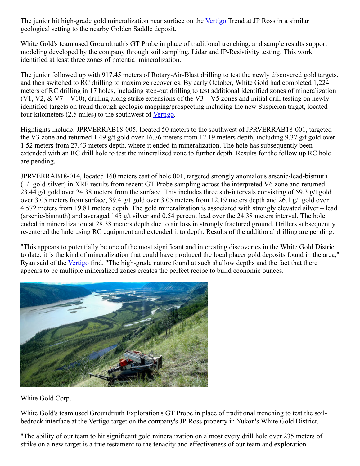The junior hit high-grade gold mineralization near surface on the [Vertigo](https://www.miningnewsnorth.com/search/Vertigo) Trend at JP Ross in a similar geological setting to the nearby Golden Saddle deposit.

White Gold's team used Groundtruth's GT Probe in place of traditional trenching, and sample results support modeling developed by the company through soil sampling, Lidar and IP-Resistivity testing. This work identified at least three zones of potential mineralization.

The junior followed up with 917.45 meters of Rotary-Air-Blast drilling to test the newly discovered gold targets, and then switched to RC drilling to maximize recoveries. By early October, White Gold had completed 1,224 meters of RC drilling in 17 holes, including step-out drilling to test additional identified zones of mineralization (V1, V2, & V7 – V10), drilling along strike extensions of the V3 – V5 zones and initial drill testing on newly identified targets on trend through geologic mapping/prospecting including the new Suspicion target, located four kilometers (2.5 miles) to the southwest of <u>Vertigo</u>.

Highlights include: JPRVERRAB18-005, located 50 meters to the southwest of JPRVERRAB18-001, targeted the V3 zone and returned 1.49 g/t gold over 16.76 meters from 12.19 meters depth, including 9.37 g/t gold over 1.52 meters from 27.43 meters depth, where it ended in mineralization. The hole has subsequently been extended with an RC drill hole to test the mineralized zone to further depth. Results for the follow up RC hole are pending.

JPRVERRAB18-014, located 160 meters east of hole 001, targeted strongly anomalous arsenic-lead-bismuth (+/- gold-silver) in XRF results from recent GT Probe sampling across the interpreted V6 zone and returned 23.44 g/t gold over 24.38 meters from the surface. This includes three sub-intervals consisting of 59.3 g/t gold over 3.05 meters from surface, 39.4 g/t gold over 3.05 meters from 12.19 meters depth and 26.1 g/t gold over 4.572 meters from 19.81 meters depth. The gold mineralization is associated with strongly elevated silver – lead (arsenic-bismuth) and averaged 145 g/t silver and 0.54 percent lead over the 24.38 meters interval. The hole ended in mineralization at 28.38 meters depth due to air loss in strongly fractured ground. Drillers subsequently re-entered the hole using RC equipment and extended it to depth. Results of the additional drilling are pending.

"This appears to potentially be one of the most significant and interesting discoveries in the White Gold District to date; it is the kind of mineralization that could have produced the local placer gold deposits found in the area," Ryan said of the [Vertigo](https://www.miningnewsnorth.com/search/Vertigo) find. "The high-grade nature found at such shallow depths and the fact that there appears to be multiple mineralized zones creates the perfect recipe to build economic ounces.



White Gold Corp.

White Gold's team used Groundtruth Exploration's GT Probe in place of traditional trenching to test the soilbedrock interface at the Vertigo target on the company's JP Ross property in Yukon's White Gold District.

"The ability of our team to hit significant gold mineralization on almost every drill hole over 235 meters of strike on a new target is a true testament to the tenacity and effectiveness of our team and exploration